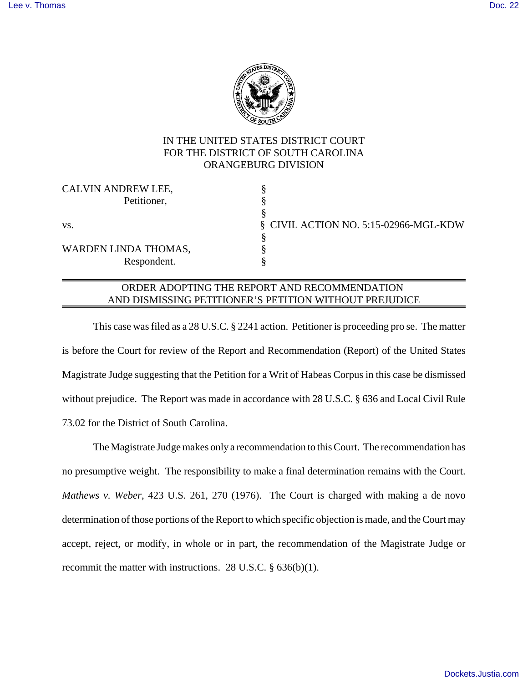

## IN THE UNITED STATES DISTRICT COURT FOR THE DISTRICT OF SOUTH CAROLINA ORANGEBURG DIVISION

| § CIVIL ACTION NO. 5:15-02966-MGL-KDW |
|---------------------------------------|
|                                       |
|                                       |
|                                       |
|                                       |

## ORDER ADOPTING THE REPORT AND RECOMMENDATION AND DISMISSING PETITIONER'S PETITION WITHOUT PREJUDICE

This case was filed as a 28 U.S.C. § 2241 action. Petitioner is proceeding pro se. The matter is before the Court for review of the Report and Recommendation (Report) of the United States Magistrate Judge suggesting that the Petition for a Writ of Habeas Corpus in this case be dismissed without prejudice. The Report was made in accordance with 28 U.S.C. § 636 and Local Civil Rule 73.02 for the District of South Carolina.

The Magistrate Judge makes only a recommendation to this Court. The recommendation has no presumptive weight. The responsibility to make a final determination remains with the Court. *Mathews v. Weber*, 423 U.S. 261, 270 (1976). The Court is charged with making a de novo determination of those portions of the Report to which specific objection is made, and the Court may accept, reject, or modify, in whole or in part, the recommendation of the Magistrate Judge or recommit the matter with instructions. 28 U.S.C. § 636(b)(1).